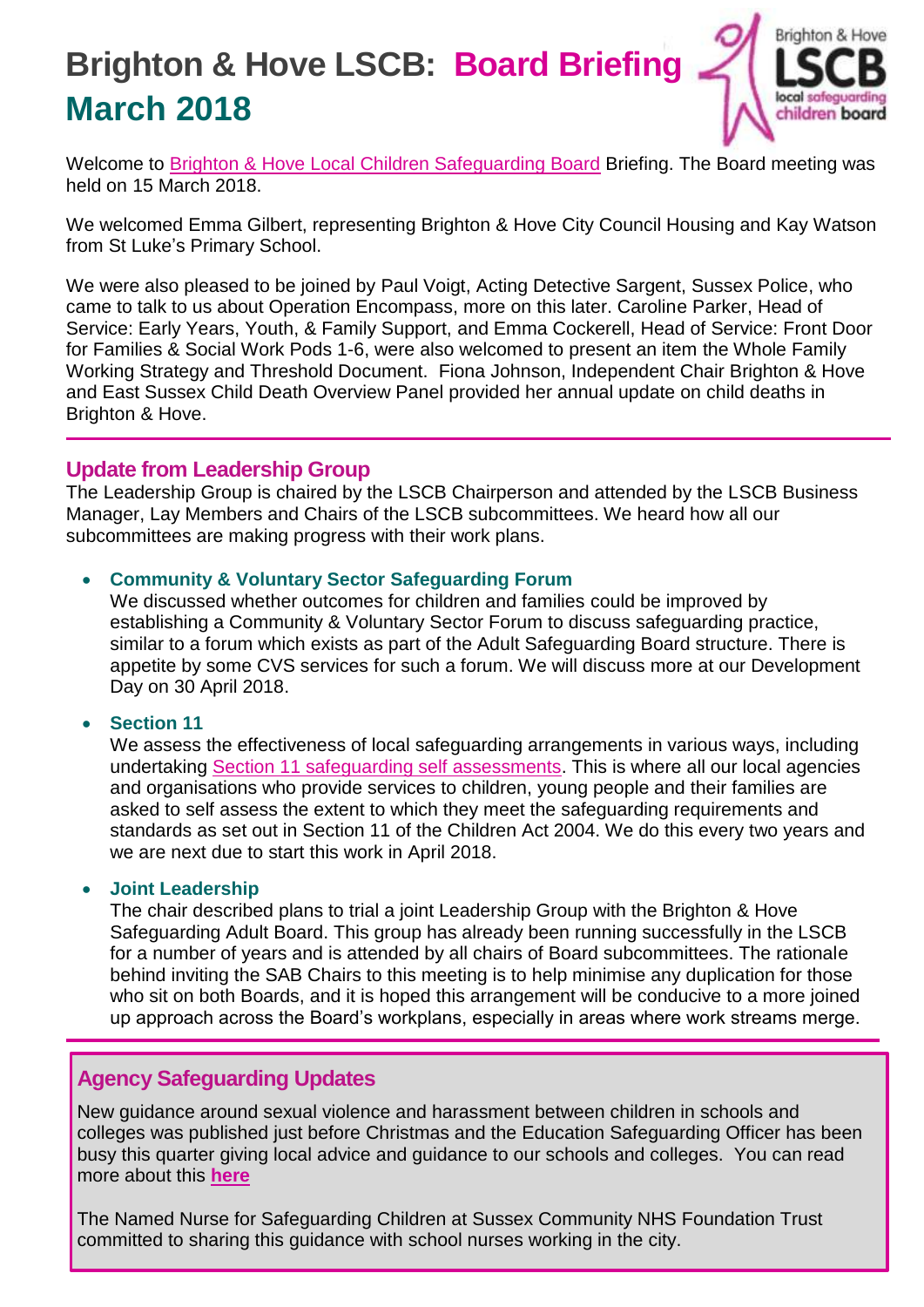# **Brighton & Hove LSCB: Board Briefing March 2018**



Welcome to [Brighton & Hove Local Children Safeguarding Board](http://brightonandhovelscb.org.uk/) Briefing. The Board meeting was held on 15 March 2018.

We welcomed Emma Gilbert, representing Brighton & Hove City Council Housing and Kay Watson from St Luke's Primary School.

We were also pleased to be joined by Paul Voigt, Acting Detective Sargent, Sussex Police, who came to talk to us about Operation Encompass, more on this later. Caroline Parker, Head of Service: Early Years, Youth, & Family Support, and Emma Cockerell, Head of Service: Front Door for Families & Social Work Pods 1-6, were also welcomed to present an item the Whole Family Working Strategy and Threshold Document. Fiona Johnson, Independent Chair Brighton & Hove and East Sussex Child Death Overview Panel provided her annual update on child deaths in Brighton & Hove.

#### **Update from Leadership Group**

The Leadership Group is chaired by the LSCB Chairperson and attended by the LSCB Business Manager, Lay Members and Chairs of the LSCB subcommittees. We heard how all our subcommittees are making progress with their work plans.

#### **Community & Voluntary Sector Safeguarding Forum**

We discussed whether outcomes for children and families could be improved by establishing a Community & Voluntary Sector Forum to discuss safeguarding practice, similar to a forum which exists as part of the Adult Safeguarding Board structure. There is appetite by some CVS services for such a forum. We will discuss more at our Development Day on 30 April 2018.

#### **Section 11**

We assess the effectiveness of local safeguarding arrangements in various ways, including undertaking [Section 11 safeguarding self assessments.](http://brightonandhovelscb.org.uk/section-11-self-evaluation-2018/) This is where all our local agencies and organisations who provide services to children, young people and their families are asked to self assess the extent to which they meet the safeguarding requirements and standards as set out in Section 11 of the Children Act 2004. We do this every two years and we are next due to start this work in April 2018.

#### **Joint Leadership**

The chair described plans to trial a joint Leadership Group with the Brighton & Hove Safeguarding Adult Board. This group has already been running successfully in the LSCB for a number of years and is attended by all chairs of Board subcommittees. The rationale behind inviting the SAB Chairs to this meeting is to help minimise any duplication for those who sit on both Boards, and it is hoped this arrangement will be conducive to a more joined up approach across the Board's workplans, especially in areas where work streams merge.

## **Agency Safeguarding Updates**

New guidance around sexual violence and harassment between children in schools and colleges was published just before Christmas and the Education Safeguarding Officer has been busy this quarter giving local advice and guidance to our schools and colleges. You can read more about this **[here](https://www.gov.uk/government/publications/sexual-violence-and-sexual-harassment-between-children-in-schools-and-colleges)**

The Named Nurse for Safeguarding Children at Sussex Community NHS Foundation Trust committed to sharing this guidance with school nurses working in the city.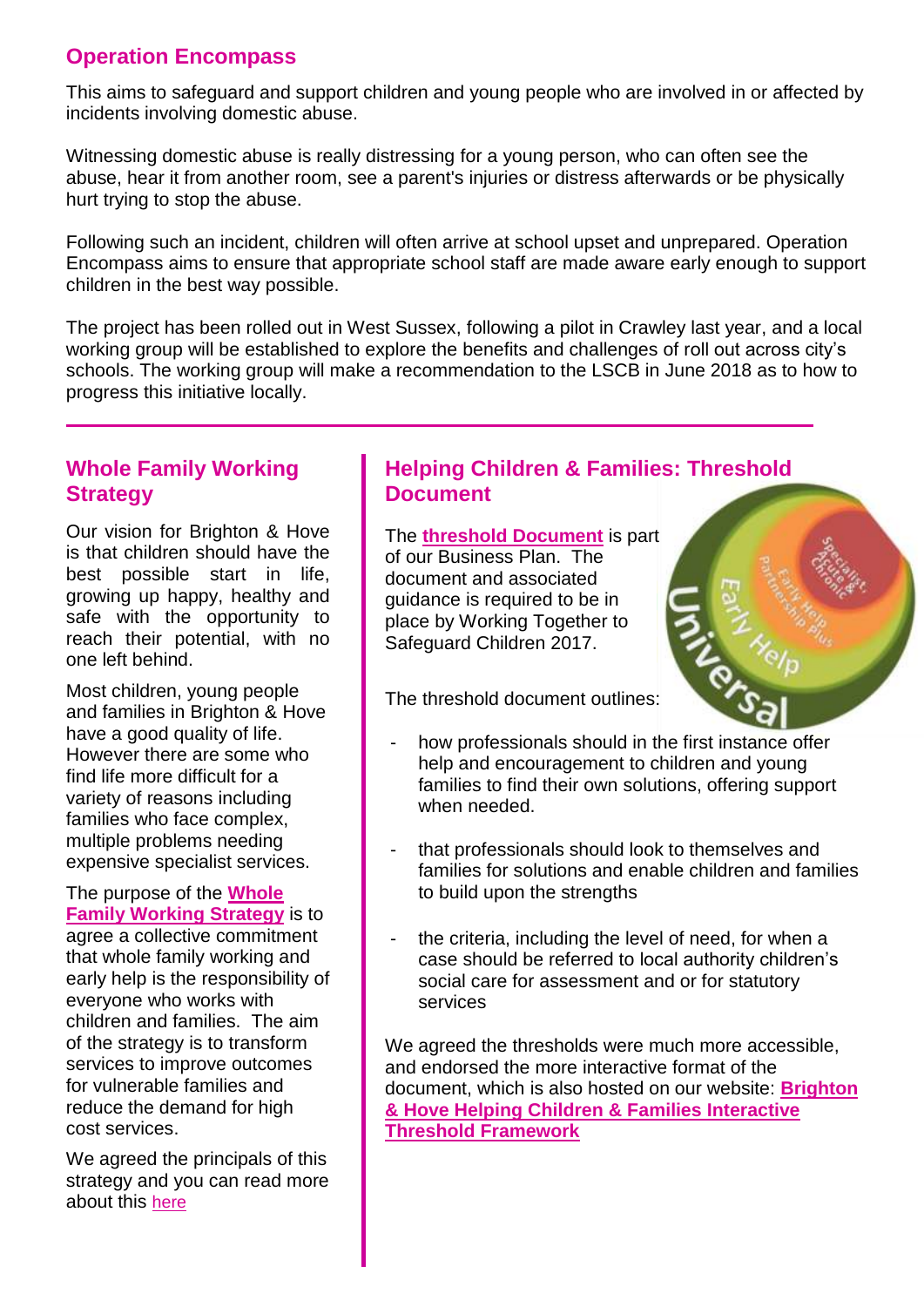# **Operation Encompass**

This aims to safeguard and support children and young people who are involved in or affected by incidents involving domestic abuse.

Witnessing domestic abuse is really distressing for a young person, who can often see the abuse, hear it from another room, see a parent's injuries or distress afterwards or be physically hurt trying to stop the abuse.

Following such an incident, children will often arrive at school upset and unprepared. Operation Encompass aims to ensure that appropriate school staff are made aware early enough to support children in the best way possible.

The project has been rolled out in West Sussex, following a pilot in Crawley last year, and a local working group will be established to explore the benefits and challenges of roll out across city's schools. The working group will make a recommendation to the LSCB in June 2018 as to how to progress this initiative locally.

# **Whole Family Working Strategy**

Our vision for Brighton & Hove is that children should have the best possible start in life, growing up happy, healthy and safe with the opportunity to reach their potential, with no one left behind.

Most children, young people and families in Brighton & Hove have a good quality of life. However there are some who find life more difficult for a variety of reasons including families who face complex, multiple problems needing expensive specialist services.

The purpose of the **[Whole](http://brightonandhovelscb.org.uk/wp-content/uploads/Whole-family-working-strategy.pdf)  [Family Working Strategy](http://brightonandhovelscb.org.uk/wp-content/uploads/Whole-family-working-strategy.pdf)** is to agree a collective commitment that whole family working and early help is the responsibility of everyone who works with children and families. The aim of the strategy is to transform services to improve outcomes for vulnerable families and reduce the demand for high cost services.

We agreed the principals of this strategy and you can read more about this [here](http://brightonandhovelscb.org.uk/whole-family-working-threshold-document/)

# **Helping Children & Families: Threshold Document**

The **[threshold Document](http://brightonandhovelscb.org.uk/wp-content/uploads/Threshold-Document.pdf)** is part of our Business Plan. The document and associated guidance is required to be in place by Working Together to Safeguard Children 2017.

The threshold document outlines:

- how professionals should in the first instance offer help and encouragement to children and young families to find their own solutions, offering support when needed.
- that professionals should look to themselves and families for solutions and enable children and families to build upon the strengths
- the criteria, including the level of need, for when a case should be referred to local authority children's social care for assessment and or for statutory services

We agreed the thresholds were much more accessible, and endorsed the more interactive format of the document, which is also hosted on our website: **[Brighton](http://brightonandhovelscb.org.uk/brighton-hove-threshold-framework/)  [& Hove Helping Children & Families Interactive](http://brightonandhovelscb.org.uk/brighton-hove-threshold-framework/)  [Threshold Framework](http://brightonandhovelscb.org.uk/brighton-hove-threshold-framework/)**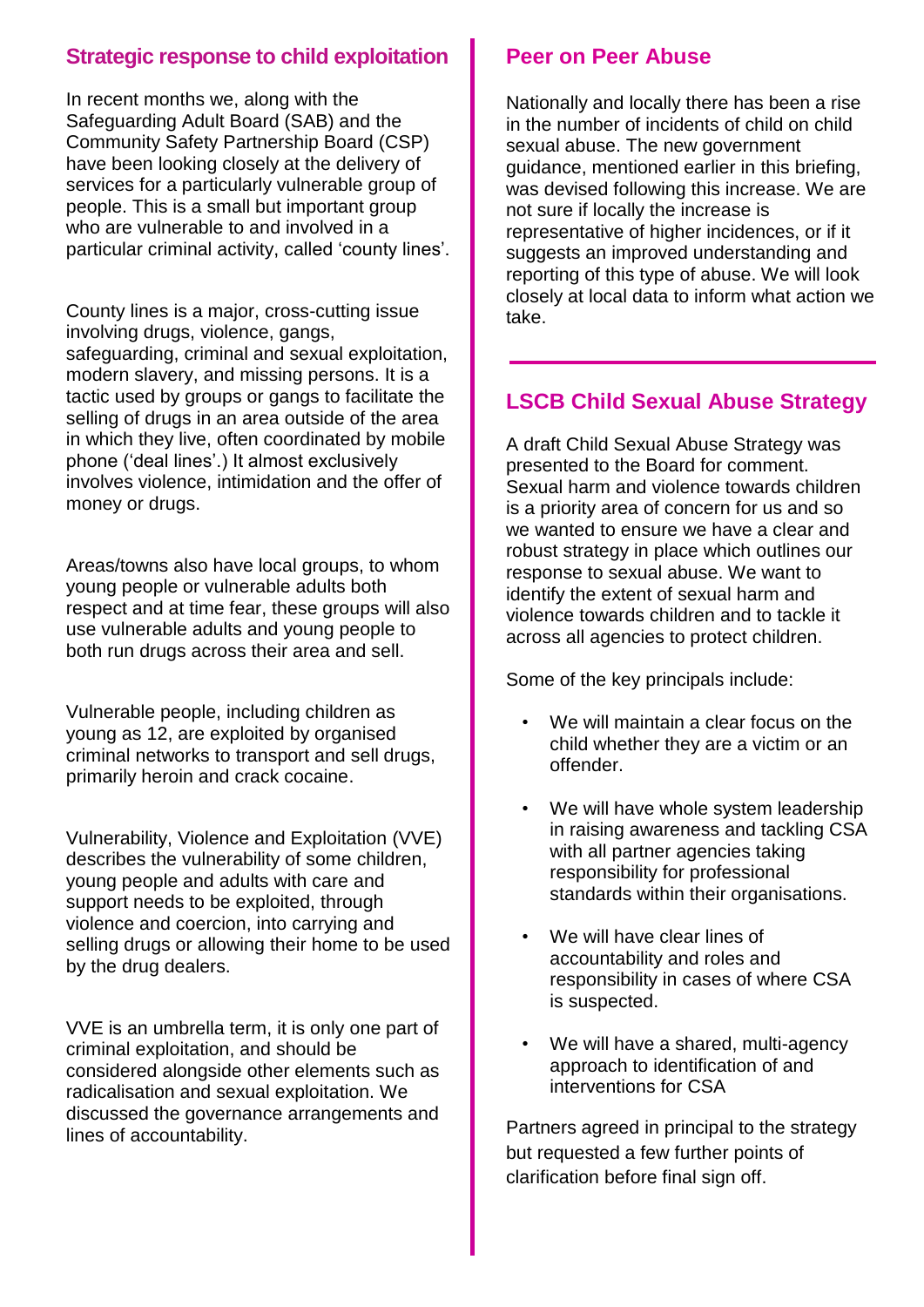## **Strategic response to child exploitation**

In recent months we, along with the Safeguarding Adult Board (SAB) and the Community Safety Partnership Board (CSP) have been looking closely at the delivery of services for a particularly vulnerable group of people. This is a small but important group who are vulnerable to and involved in a particular criminal activity, called 'county lines'.

County lines is a major, cross-cutting issue involving drugs, violence, gangs, safeguarding, criminal and sexual exploitation, modern slavery, and missing persons. It is a tactic used by groups or gangs to facilitate the selling of drugs in an area outside of the area in which they live, often coordinated by mobile phone ('deal lines'.) It almost exclusively involves violence, intimidation and the offer of money or drugs.

Areas/towns also have local groups, to whom young people or vulnerable adults both respect and at time fear, these groups will also use vulnerable adults and young people to both run drugs across their area and sell.

Vulnerable people, including children as young as 12, are exploited by organised criminal networks to transport and sell drugs, primarily heroin and crack cocaine.

Vulnerability, Violence and Exploitation (VVE) describes the vulnerability of some children, young people and adults with care and support needs to be exploited, through violence and coercion, into carrying and selling drugs or allowing their home to be used by the drug dealers.

VVE is an umbrella term, it is only one part of criminal exploitation, and should be considered alongside other elements such as radicalisation and sexual exploitation. We discussed the governance arrangements and lines of accountability.

## **Peer on Peer Abuse**

Nationally and locally there has been a rise in the number of incidents of child on child sexual abuse. The new government guidance, mentioned earlier in this briefing, was devised following this increase. We are not sure if locally the increase is representative of higher incidences, or if it suggests an improved understanding and reporting of this type of abuse. We will look closely at local data to inform what action we take.

# **LSCB Child Sexual Abuse Strategy**

A draft Child Sexual Abuse Strategy was presented to the Board for comment. Sexual harm and violence towards children is a priority area of concern for us and so we wanted to ensure we have a clear and robust strategy in place which outlines our response to sexual abuse. We want to identify the extent of sexual harm and violence towards children and to tackle it across all agencies to protect children.

Some of the key principals include:

- We will maintain a clear focus on the child whether they are a victim or an offender.
- We will have whole system leadership in raising awareness and tackling CSA with all partner agencies taking responsibility for professional standards within their organisations.
- We will have clear lines of accountability and roles and responsibility in cases of where CSA is suspected.
- We will have a shared, multi-agency approach to identification of and interventions for CSA

Partners agreed in principal to the strategy but requested a few further points of clarification before final sign off.